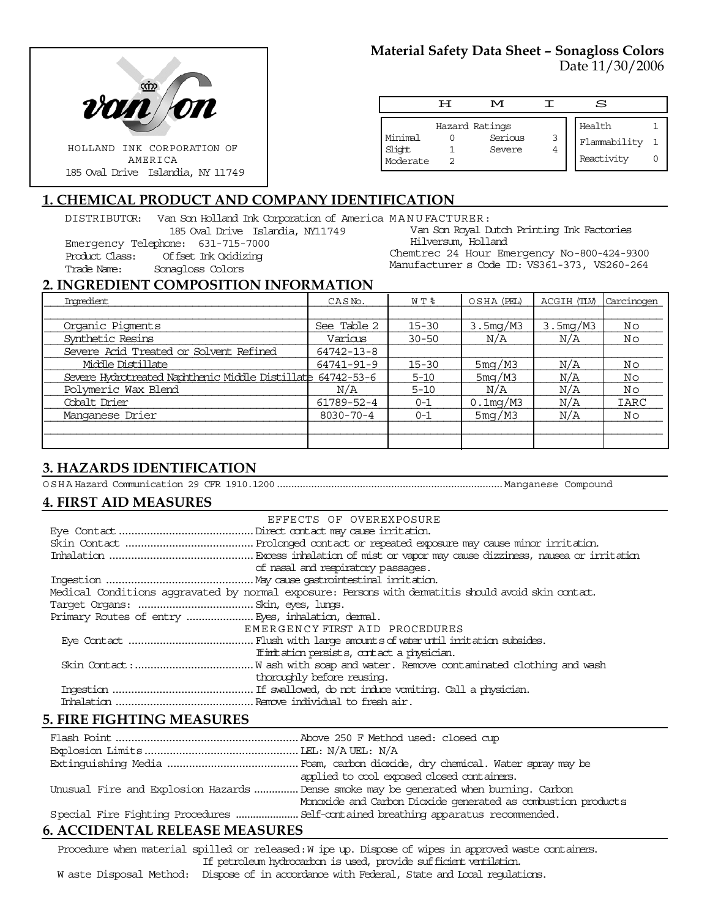

# **Material Safety Data Sheet – Sonagloss Colors**

Date 11/30/2006

|                               | ਸ | M                                   |        | S                                    |  |
|-------------------------------|---|-------------------------------------|--------|--------------------------------------|--|
| Minimal<br>Slight<br>Moderate |   | Hazard Ratings<br>Serious<br>Severe | 3<br>4 | Health<br>Flammability<br>Reactivity |  |

## **1. CHEMICAL PRODUCT AND COMPANY IDENTIFICATION**

DISTRIBUTOR: Van Son Holland Ink Corporation of America MANUFACTURER:

185 Oval Drive Islandia, NY11749

Emergency Telephone: 631-715-7000

Product Class: Offset Ink Oxidizing

Trade Name: Sonagloss Colors

Van Son Royal Dutch Printing Ink Factories Hilversum, Holland Chemtrec 24 Hour Emergency No-800-424-9300 Manufacturer s Code ID: VS361-373, VS260-264

#### **2. INGREDIENT COMPOSITION INFORMATION**

| Imredient                                                   | CASN <sub>o</sub> . | W T %     | OSHA (PEL)  | ACGIH (TLV) | Carcinogen |
|-------------------------------------------------------------|---------------------|-----------|-------------|-------------|------------|
|                                                             |                     |           |             |             |            |
| Organic Pigments                                            | See Table 2         | $15 - 30$ | 3.5mg/M3    | 3.5mg/M3    | Νo         |
| Synthetic Resins                                            | Various             | $30 - 50$ | N/A         | N/A         | Νo         |
| Severe Acid Treated or Solvent Refined                      | $64742 - 13 - 8$    |           |             |             |            |
| Middle Distillate                                           | 64741-91-9          | $15 - 30$ | 5mg/M3      | N/A         | Νo         |
| Severe Hydrotreated Naphthenic Middle Distillate 64742-53-6 |                     | $5 - 10$  | 5mg/M3      | N/A         | Νo         |
| Polymeric Wax Blend                                         | N/A                 | $5 - 10$  | N/A         | N/A         | Nο         |
| Cobalt Drier                                                | 61789-52-4          | $0 - 1$   | $0.1$ mg/M3 | N/A         | IARC       |
| Manganese Drier                                             | $8030 - 70 - 4$     | $0 - 1$   | 5mg/M3      | N/A         | Νo         |
|                                                             |                     |           |             |             |            |
|                                                             |                     |           |             |             |            |

# **3. HAZARDS IDENTIFICATION**

OSHA Hazard Communication 29 CFR 1910.1200...............................................................................Manganese Compound

## **4. FIRST AID MEASURES**

|                                                   | EFFECTS OF OVEREXPOSURE                                                                             |
|---------------------------------------------------|-----------------------------------------------------------------------------------------------------|
|                                                   |                                                                                                     |
|                                                   |                                                                                                     |
|                                                   |                                                                                                     |
|                                                   | of nasal and respiratory passages.                                                                  |
|                                                   |                                                                                                     |
|                                                   | Medical Conditions aggravated by normal exposure: Persons with dematitis should avoid skin contact. |
|                                                   |                                                                                                     |
| Primary Routes of entry  Eyes, inhalation, demal. |                                                                                                     |
|                                                   | EMERGENCY FIRST AID PROCEDURES                                                                      |
|                                                   |                                                                                                     |
|                                                   | If initiation persists, contact a physician.                                                        |
|                                                   |                                                                                                     |
|                                                   | thoroughly before reusing.                                                                          |
|                                                   |                                                                                                     |
|                                                   |                                                                                                     |
|                                                   |                                                                                                     |

## **5. FIRE FIGHTING MEASURES**

|                                             | applied to cool exposed closed containers.                                            |
|---------------------------------------------|---------------------------------------------------------------------------------------|
|                                             | Unusual Fire and Explosion Hazards  Dense smoke may be generated when burning. Carbon |
|                                             | Monoxide and Carbon Dioxide generated as combustion products                          |
|                                             |                                                                                       |
| $\epsilon$ a corporte at per each veracines |                                                                                       |

# **6. ACCIDENTAL RELEASE MEASURES**

Procedure when material spilled or released: W ipe up. Dispose of wipes in approved waste containers. If petroleum hydrocarbon is used, provide sufficient ventilation.

W aste Disposal Method: Dispose of in accordance with Federal, State and Local regulations.